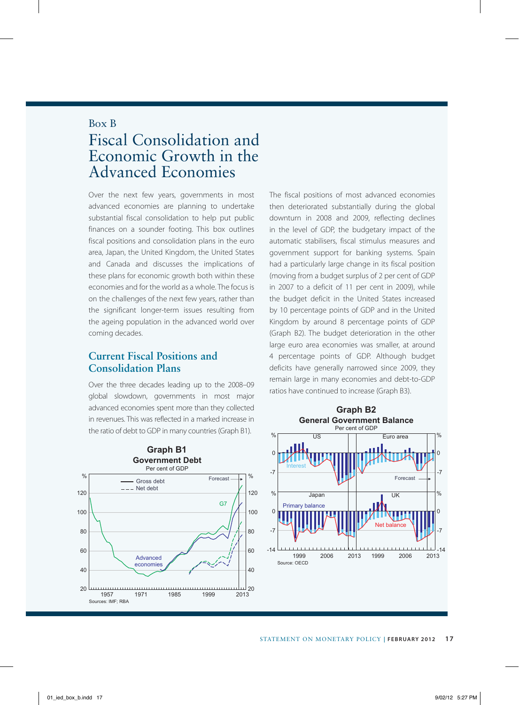## Box B

## Fiscal Consolidation and Economic Growth in the Advanced Economies

Over the next few years, governments in most advanced economies are planning to undertake substantial fiscal consolidation to help put public finances on a sounder footing. This box outlines fiscal positions and consolidation plans in the euro area, Japan, the United Kingdom, the United States and Canada and discusses the implications of these plans for economic growth both within these economies and for the world as a whole. The focus is on the challenges of the next few years, rather than the significant longer-term issues resulting from the ageing population in the advanced world over coming decades.

## **Current Fiscal Positions and Consolidation Plans**

Over the three decades leading up to the 2008–09 global slowdown, governments in most major advanced economies spent more than they collected in revenues. This was reflected in a marked increase in the ratio of debt to GDP in many countries (Graph B1).

**Graph B1 Government Debt** Per cent of GDP  $\frac{0}{6}$ % Forecast Gross debt -- Net debt 120 120 G7 100 100  $80$  $80$  $60$  $60$ Advanced economies  $40$  $40$  $20$ 20 لىىلى<br>2013 1957 1971 1985 1999 2013 Sources: IMF; RBA

The fiscal positions of most advanced economies then deteriorated substantially during the global downturn in 2008 and 2009, reflecting declines in the level of GDP, the budgetary impact of the automatic stabilisers, fiscal stimulus measures and government support for banking systems. Spain had a particularly large change in its fiscal position (moving from a budget surplus of 2 per cent of GDP in 2007 to a deficit of 11 per cent in 2009), while the budget deficit in the United States increased by 10 percentage points of GDP and in the United Kingdom by around 8 percentage points of GDP (Graph B2). The budget deterioration in the other large euro area economies was smaller, at around 4 percentage points of GDP. Although budget deficits have generally narrowed since 2009, they remain large in many economies and debt-to-GDP ratios have continued to increase (Graph B3).

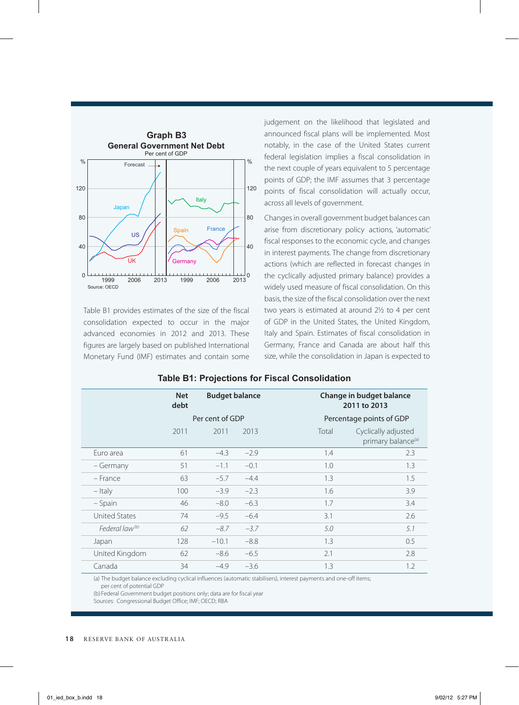

Table B1 provides estimates of the size of the fiscal consolidation expected to occur in the major advanced economies in 2012 and 2013. These figures are largely based on published International Monetary Fund (IMF) estimates and contain some judgement on the likelihood that legislated and announced fiscal plans will be implemented. Most notably, in the case of the United States current federal legislation implies a fiscal consolidation in the next couple of years equivalent to 5 percentage points of GDP; the IMF assumes that 3 percentage points of fiscal consolidation will actually occur, across all levels of government.

Changes in overall government budget balances can arise from discretionary policy actions, 'automatic' fiscal responses to the economic cycle, and changes in interest payments. The change from discretionary actions (which are reflected in forecast changes in the cyclically adjusted primary balance) provides a widely used measure of fiscal consolidation. On this basis, the size of the fiscal consolidation over the next two years is estimated at around 2½ to 4 per cent of GDP in the United States, the United Kingdom, Italy and Spain. Estimates of fiscal consolidation in Germany, France and Canada are about half this size, while the consolidation in Japan is expected to

|                            | <b>Net</b><br>debt | <b>Budget balance</b> |        |       | Change in budget balance<br>2011 to 2013              |  |
|----------------------------|--------------------|-----------------------|--------|-------|-------------------------------------------------------|--|
|                            |                    | Per cent of GDP       |        |       | Percentage points of GDP                              |  |
|                            | 2011               | 2011                  | 2013   | Total | Cyclically adjusted<br>primary balance <sup>(a)</sup> |  |
| Euro area                  | 61                 | $-4.3$                | $-2.9$ | 1.4   | 2.3                                                   |  |
| – Germany                  | 51                 | $-1.1$                | $-0.1$ | 1.0   | 1.3                                                   |  |
| $-$ France                 | 63                 | $-5.7$                | $-4.4$ | 1.3   | 1.5                                                   |  |
| $-$ Italy                  | 100                | $-3.9$                | $-2.3$ | 1.6   | 3.9                                                   |  |
| – Spain                    | 46                 | $-8.0$                | $-6.3$ | 1.7   | 3.4                                                   |  |
| <b>United States</b>       | 74                 | $-9.5$                | $-6.4$ | 3.1   | 2.6                                                   |  |
| Federal law <sup>(b)</sup> | 62                 | $-8.7$                | $-3.7$ | 5.0   | 5.1                                                   |  |
| Japan                      | 128                | $-10.1$               | $-8.8$ | 1.3   | 0.5                                                   |  |
| United Kingdom             | 62                 | $-8.6$                | $-6.5$ | 2.1   | 2.8                                                   |  |
| Canada                     | 34                 | $-4.9$                | $-3.6$ | 1.3   | 1.2                                                   |  |

**Table B1: Projections for Fiscal Consolidation**

(a) The budget balance excluding cyclical influences (automatic stabilisers), interest payments and one-off items; per cent of potential GDP

(b) Federal Government budget positions only; data are for fiscal year

Sources: Congressional Budget Office; IMF; OECD; RBA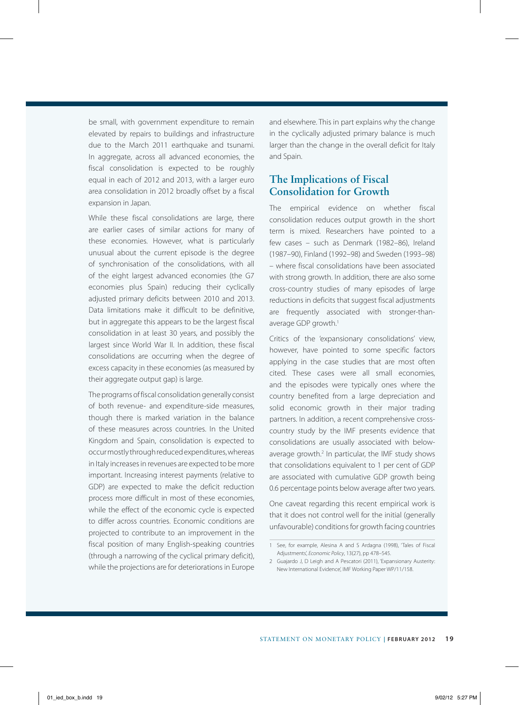be small, with government expenditure to remain elevated by repairs to buildings and infrastructure due to the March 2011 earthquake and tsunami. In aggregate, across all advanced economies, the fiscal consolidation is expected to be roughly equal in each of 2012 and 2013, with a larger euro area consolidation in 2012 broadly offset by a fiscal expansion in Japan.

While these fiscal consolidations are large, there are earlier cases of similar actions for many of these economies. However, what is particularly unusual about the current episode is the degree of synchronisation of the consolidations, with all of the eight largest advanced economies (the G7 economies plus Spain) reducing their cyclically adjusted primary deficits between 2010 and 2013. Data limitations make it difficult to be definitive, but in aggregate this appears to be the largest fiscal consolidation in at least 30 years, and possibly the largest since World War II. In addition, these fiscal consolidations are occurring when the degree of excess capacity in these economies (as measured by their aggregate output gap) is large.

The programs of fiscal consolidation generally consist of both revenue- and expenditure-side measures, though there is marked variation in the balance of these measures across countries. In the United Kingdom and Spain, consolidation is expected to occur mostly through reduced expenditures, whereas in Italy increases in revenues are expected to be more important. Increasing interest payments (relative to GDP) are expected to make the deficit reduction process more difficult in most of these economies, while the effect of the economic cycle is expected to differ across countries. Economic conditions are projected to contribute to an improvement in the fiscal position of many English-speaking countries (through a narrowing of the cyclical primary deficit), while the projections are for deteriorations in Europe and elsewhere. This in part explains why the change in the cyclically adjusted primary balance is much larger than the change in the overall deficit for Italy and Spain.

## **The Implications of Fiscal Consolidation for Growth**

The empirical evidence on whether fiscal consolidation reduces output growth in the short term is mixed. Researchers have pointed to a few cases – such as Denmark (1982–86), Ireland (1987–90), Finland (1992–98) and Sweden (1993–98) – where fiscal consolidations have been associated with strong growth. In addition, there are also some cross-country studies of many episodes of large reductions in deficits that suggest fiscal adjustments are frequently associated with stronger-thanaverage GDP growth.<sup>1</sup>

Critics of the 'expansionary consolidations' view, however, have pointed to some specific factors applying in the case studies that are most often cited. These cases were all small economies, and the episodes were typically ones where the country benefited from a large depreciation and solid economic growth in their major trading partners. In addition, a recent comprehensive crosscountry study by the IMF presents evidence that consolidations are usually associated with belowaverage growth.<sup>2</sup> In particular, the IMF study shows that consolidations equivalent to 1 per cent of GDP are associated with cumulative GDP growth being 0.6 percentage points below average after two years.

One caveat regarding this recent empirical work is that it does not control well for the initial (generally unfavourable) conditions for growth facing countries

<sup>1</sup> See, for example, Alesina A and S Ardagna (1998), 'Tales of Fiscal Adjustments', *Economic Policy*, 13(27), pp 478–545.

<sup>2</sup> Guajardo J, D Leigh and A Pescatori (2011), 'Expansionary Austerity: New International Evidence', IMF Working Paper WP/11/158.